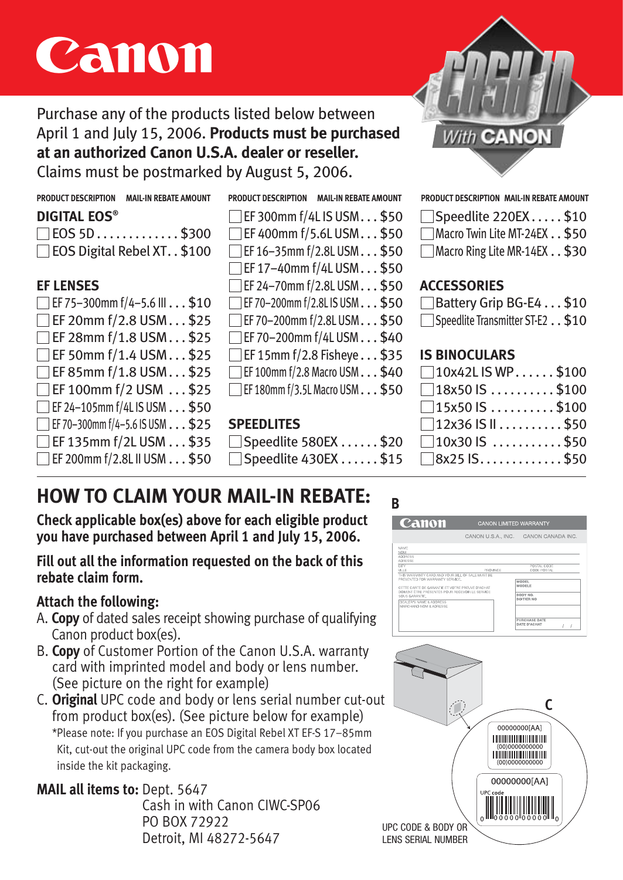# **Canon**

Purchase any of the products listed below between April 1 and July 15, 2006. **Products must be purchased at an authorized Canon U.S.A. dealer or reseller.**

Claims must be postmarked by August 5, 2006.

# **DIGITAL EOS®**

| <b>DIGITAL EOS</b>                                   |  |
|------------------------------------------------------|--|
| $\square$ EOS 5D $\ldots \ldots \ldots \ldots$ \$300 |  |
| $\Box$ EOS Digital Rebel XT. . \$100                 |  |
|                                                      |  |

## **EF LENSES**

| $\Box$ EF 75-300mm f/4-5.6 III $\ldots$ \$10    |
|-------------------------------------------------|
| □EF 20mm f/2.8 USM\$25                          |
| $\Box$ EF 28mm f/1.8 USM $\dots$ \$25           |
| $\Box$ EF 50mm f/1.4 USM $\dots$ \$25           |
| EF85mm f/1.8 USM\$25                            |
| $\Box$ EF 100mm f/2 USM $\dots$ \$25            |
| $\Box$ EF 24-105mm f/4L IS USM $\ldots$ \$50    |
| $\Box$ EF 70-300mm f/4-5.6 IS USM $\ldots$ \$25 |
| $\Box$ EF 135mm f/2L USM $\ldots$ \$35          |
| $\Box$ EF 200mm f/2.8L II USM $\ldots$ \$50     |
|                                                 |



## **SPEEDLITES**

Speedlite 580EX . . . . . . \$20 Speedlite 430EX ...... \$15



| □Speedlite 220EX\$10         |  |
|------------------------------|--|
| Macro Twin Lite MT-24EX \$50 |  |
| Macro Ring Lite MR-14EX \$30 |  |

# **ACCESSORIES**

| □ Battery Grip BG-E4 \$10       |  |
|---------------------------------|--|
| Speedlite Transmitter ST-E2\$10 |  |

## **IS BINOCULARS**

| $\Box$ 10x42L IS WP\$100                        |  |
|-------------------------------------------------|--|
| $\Box$ 18x50 IS $\ldots \ldots \ldots$ . \$100  |  |
| $\square$ 15x50 IS $\dots\dots\dots$ \$100      |  |
| $\square$ 12x36 IS II $\ldots\ldots\ldots$ \$50 |  |
| $\square$ 10x30 IS $\,\dots\ldots\ldots\,$ \$50 |  |
| $\Box$ 8x25 IS $\dots\dots\dots\dots$ \$50      |  |
|                                                 |  |

# **HOW TO CLAIM YOUR MAIL-IN REBATE:**

**Check applicable box(es) above for each eligible product you have purchased between April 1 and July 15, 2006.**

#### **Fill out all the information requested on the back of this rebate claim form.**

# **Attach the following:**

- A. **Copy** of dated sales receipt showing purchase of qualifying Canon product box(es).
- B. **Copy** of Customer Portion of the Canon U.S.A. warranty card with imprinted model and body or lens number. (See picture on the right for example)
- C. **Original** UPC code and body or lens serial number cut-out from product box(es). (See picture below for example) \*Please note: If you purchase an EOS Digital Rebel XT EF-S 17–85mm Kit, cut-out the original UPC code from the camera body box located inside the kit packaging.

# **MAIL all items to:** Dept. 5647

Cash in with Canon CIWC-SP06 PO BOX 72922 Detroit, MI 48272-5647

# **B**